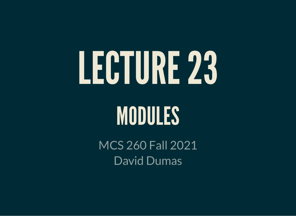# LECTURE23

#### MODULES

MCS 260 Fall 2021 David Dumas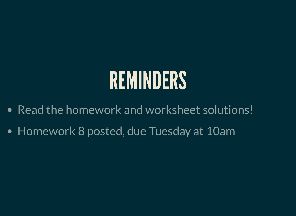## REMINDERS

- Read the homework and worksheet solutions!
- Homework 8 posted, due Tuesday at 10am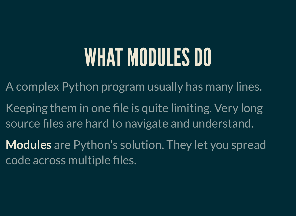### WHAT MODULES DO

A complex Python program usually has many lines.

- Keeping them in one file is quite limiting. Very long source files are hard to navigate and understand.
- **Modules** are Python's solution. They let you spread code across multiple files.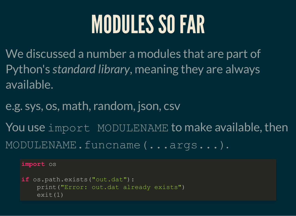### MODULES SO FAR

We discussed a number a modules that are part of Python's *standard library*, meaning they are always available.

e.g. sys, os, math, random, json, csv

You use import MODULENAME to make available, then MODULENAME.funcname(...args...).

#### **import** os

```
if os.path.exists("out.dat"):
     print("Error: out.dat already exists")
     exit(1)
```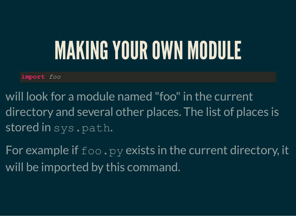#### MAKING YOUR OWN MODULE

**import** *foo*

- will look for a module named "foo" in the current directory and several other places. The list of places is stored in sys.path.
- For example if  $f \circ \circ P$ , py exists in the current directory, it will be imported by this command.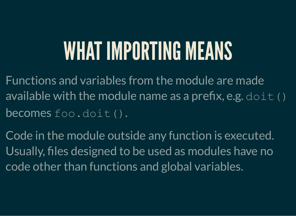### WHAT IMPORTING MEANS

Functions and variables from the module are made available with the module name as a prefix, e.g.  $dot($ ) becomes foo.doit().

Code in the module outside any function is executed. Usually, files designed to be used as modules have no code other than functions and global variables.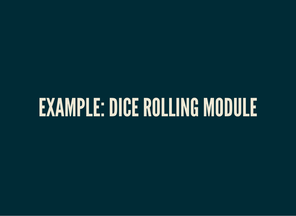#### EXAMPLE: DICE ROLLING MODULE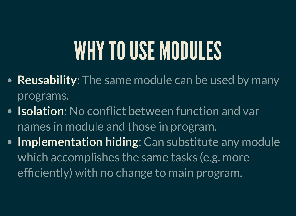## WHY TO USE MODULES

- **Reusability**: The same module can be used by many programs.
- **Isolation**: No conflict between function and var names in module and those in program.
- **Implementation hiding**: Can substitute any module which accomplishes the same tasks (e.g. more efficiently) with no change to main program.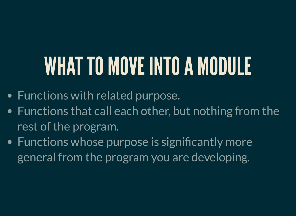### WHAT TO MOVE INTO A MODULE

- Functions with related purpose.
- Functions that call each other, but nothing from the rest of the program.
- Functions whose purpose is significantly more general from the program you are developing.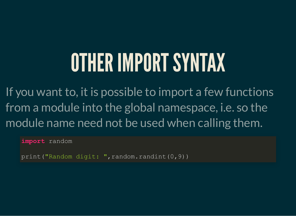#### OTHERIMPORTSYNTAX

If you want to, it is possible to import a few functions from a module into the global namespace, i.e. so the module name need not be used when calling them.

**import** random

print ("Random digit: ", random.randint (0,9))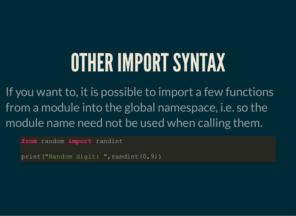#### OTHERIMPORTSYNTAX

If you want to, it is possible to import a few functions from a module into the global namespace, i.e. so the module name need not be used when calling them.

**from** random **import** randint

print("Random digit: ", randint(0,9))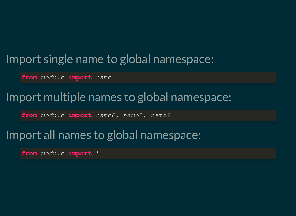#### Import single name to global namespace:

**from** *module* **import** *name*

#### Import multiple names to global namespace:

**from** *module* **import** *name0, name1, name2*

#### Import all names to global namespace:

**from** *module* **import** \*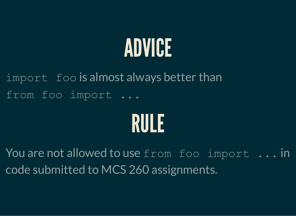## ADVICE

import foo is almost always better than from foo import ...



You are not allowed to use from foo import ... in code submitted to MCS 260 assignments.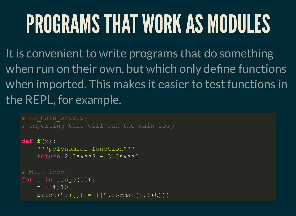# PROGRAMS THAT WORK AS MODULES

It is convenient to write programs that do something when run on their own, but which only define functions when imported. This makes it easier to test functions in the REPL, for example.

```
def f(x):
      """polynomial function"""
     \text{return } 2.0 \times x \times x \times 3 - 3.0 \times x \times x \times 2# Main loop
for i in range(11):
     t = i/10print("f({}) = {}".format(t,f(t)))
```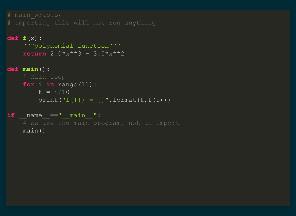```
def f(x):
     """polynomial function"""
    return 2.0****3 - 3.0****2
```

```
def main():
     for i in range(11):
       t = i/10print("f({}) = {}".format(t,f(t)))
```

```
if name ==" main ":
    main()
```